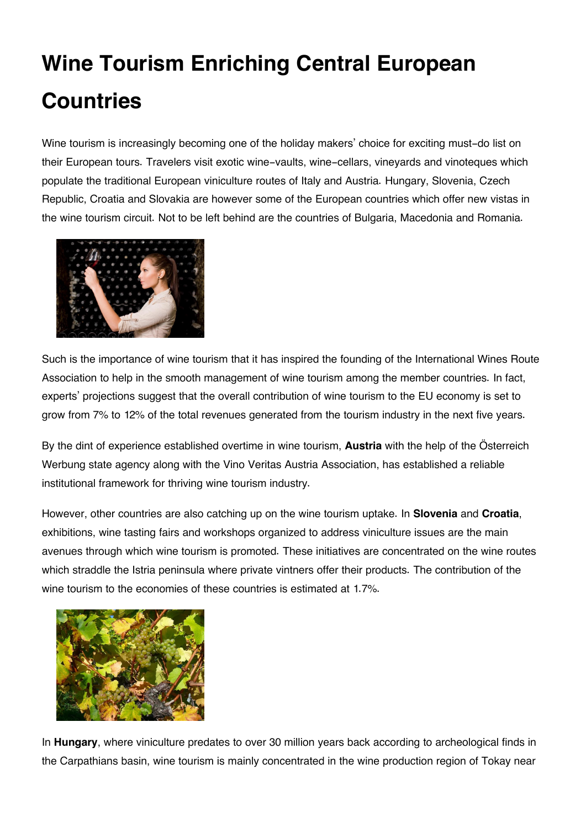## **Wine Tourism Enriching Central European Countries**

Wine tourism is increasingly becoming one of the holiday makers' choice for exciting must-do list on their European tours. Travelers visit exotic wine-vaults, wine-cellars, vineyards and vinoteques which populate the traditional European viniculture routes of Italy and Austria. Hungary, Slovenia, Czech Republic, Croatia and Slovakia are however some of the European countries which offer new vistas in the wine tourism circuit. Not to be left behind are the countries of Bulgaria, Macedonia and Romania.



Such is the importance of wine tourism that it has inspired the founding of the International Wines Route Association to help in the smooth management of wine tourism among the member countries. In fact, experts' projections suggest that the overall contribution of wine tourism to the EU economy is set to grow from 7% to 12% of the total revenues generated from the tourism industry in the next five years.

By the dint of experience established overtime in wine tourism, **Austria** with the help of the Österreich Werbung state agency along with the Vino Veritas Austria Association, has established a reliable institutional framework for thriving wine tourism industry.

However, other countries are also catching up on the wine tourism uptake. In **Slovenia** and **Croatia**, exhibitions, wine tasting fairs and workshops organized to address viniculture issues are the main avenues through which wine tourism is promoted. These initiatives are concentrated on the wine routes which straddle the Istria peninsula where private vintners offer their products. The contribution of the wine tourism to the economies of these countries is estimated at 1.7%.



In **Hungary**, where viniculture predates to over 30 million years back according to archeological finds in the Carpathians basin, wine tourism is mainly concentrated in the wine production region of Tokay near